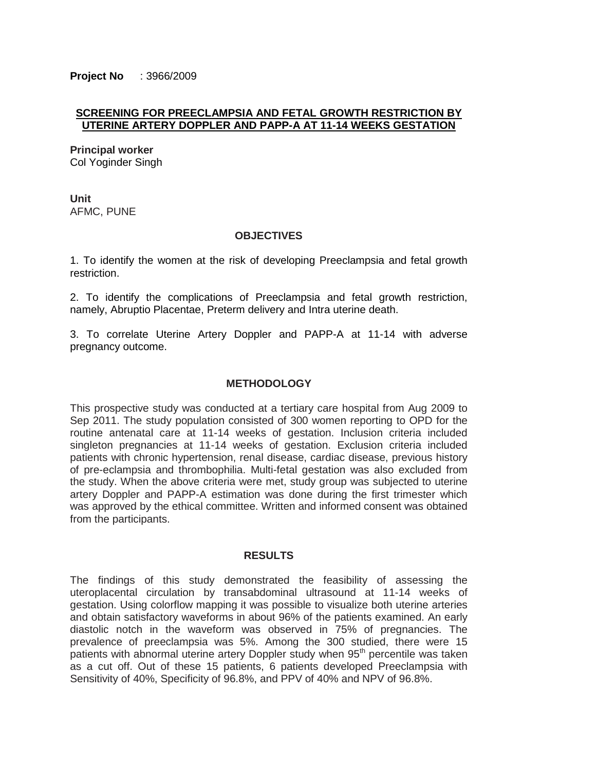**Project No** : 3966/2009

# **SCREENING FOR PREECLAMPSIA AND FETAL GROWTH RESTRICTION BY UTERINE ARTERY DOPPLER AND PAPP-A AT 11-14 WEEKS GESTATION**

**Principal worker** Col Yoginder Singh

**Unit** AFMC, PUNE

## **OBJECTIVES**

1. To identify the women at the risk of developing Preeclampsia and fetal growth restriction.

2. To identify the complications of Preeclampsia and fetal growth restriction, namely, Abruptio Placentae, Preterm delivery and Intra uterine death.

3. To correlate Uterine Artery Doppler and PAPP-A at 11-14 with adverse pregnancy outcome.

## **METHODOLOGY**

This prospective study was conducted at a tertiary care hospital from Aug 2009 to Sep 2011. The study population consisted of 300 women reporting to OPD for the routine antenatal care at 11-14 weeks of gestation. Inclusion criteria included singleton pregnancies at 11-14 weeks of gestation. Exclusion criteria included patients with chronic hypertension, renal disease, cardiac disease, previous history of pre-eclampsia and thrombophilia. Multi-fetal gestation was also excluded from the study. When the above criteria were met, study group was subjected to uterine artery Doppler and PAPP-A estimation was done during the first trimester which was approved by the ethical committee. Written and informed consent was obtained from the participants.

## **RESULTS**

The findings of this study demonstrated the feasibility of assessing the uteroplacental circulation by transabdominal ultrasound at 11-14 weeks of gestation. Using colorflow mapping it was possible to visualize both uterine arteries and obtain satisfactory waveforms in about 96% of the patients examined. An early diastolic notch in the waveform was observed in 75% of pregnancies. The prevalence of preeclampsia was 5%. Among the 300 studied, there were 15 patients with abnormal uterine artery Doppler study when 95<sup>th</sup> percentile was taken as a cut off. Out of these 15 patients, 6 patients developed Preeclampsia with Sensitivity of 40%, Specificity of 96.8%, and PPV of 40% and NPV of 96.8%.